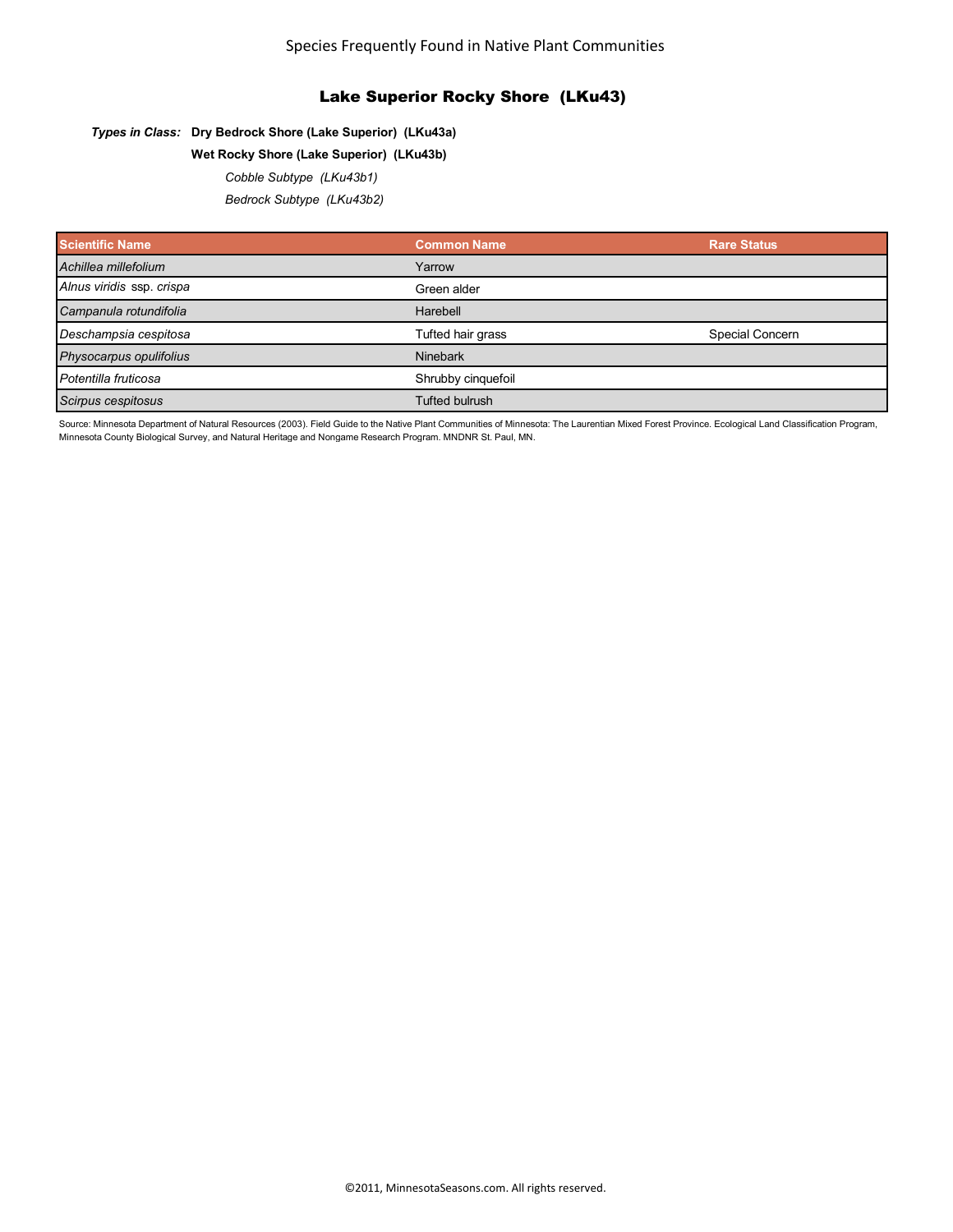# Lake Superior Rocky Shore (LKu43)

### *Types in Class:* **Dry Bedrock Shore (Lake Superior) (LKu43a)**

## **Wet Rocky Shore (Lake Superior) (LKu43b)**

#### *Cobble Subtype (LKu43b1)*

*Bedrock Subtype (LKu43b2)*

| <b>Scientific Name</b>    | <b>Common Name</b>    | <b>Rare Status</b> |
|---------------------------|-----------------------|--------------------|
| Achillea millefolium      | Yarrow                |                    |
| Alnus viridis ssp. crispa | Green alder           |                    |
| Campanula rotundifolia    | Harebell              |                    |
| Deschampsia cespitosa     | Tufted hair grass     | Special Concern    |
| Physocarpus opulifolius   | <b>Ninebark</b>       |                    |
| Potentilla fruticosa      | Shrubby cinquefoil    |                    |
| Scirpus cespitosus        | <b>Tufted bulrush</b> |                    |

Source: Minnesota Department of Natural Resources (2003). Field Guide to the Native Plant Communities of Minnesota: The Laurentian Mixed Forest Province. Ecological Land Classification Program, Minnesota County Biological Survey, and Natural Heritage and Nongame Research Program. MNDNR St. Paul, MN.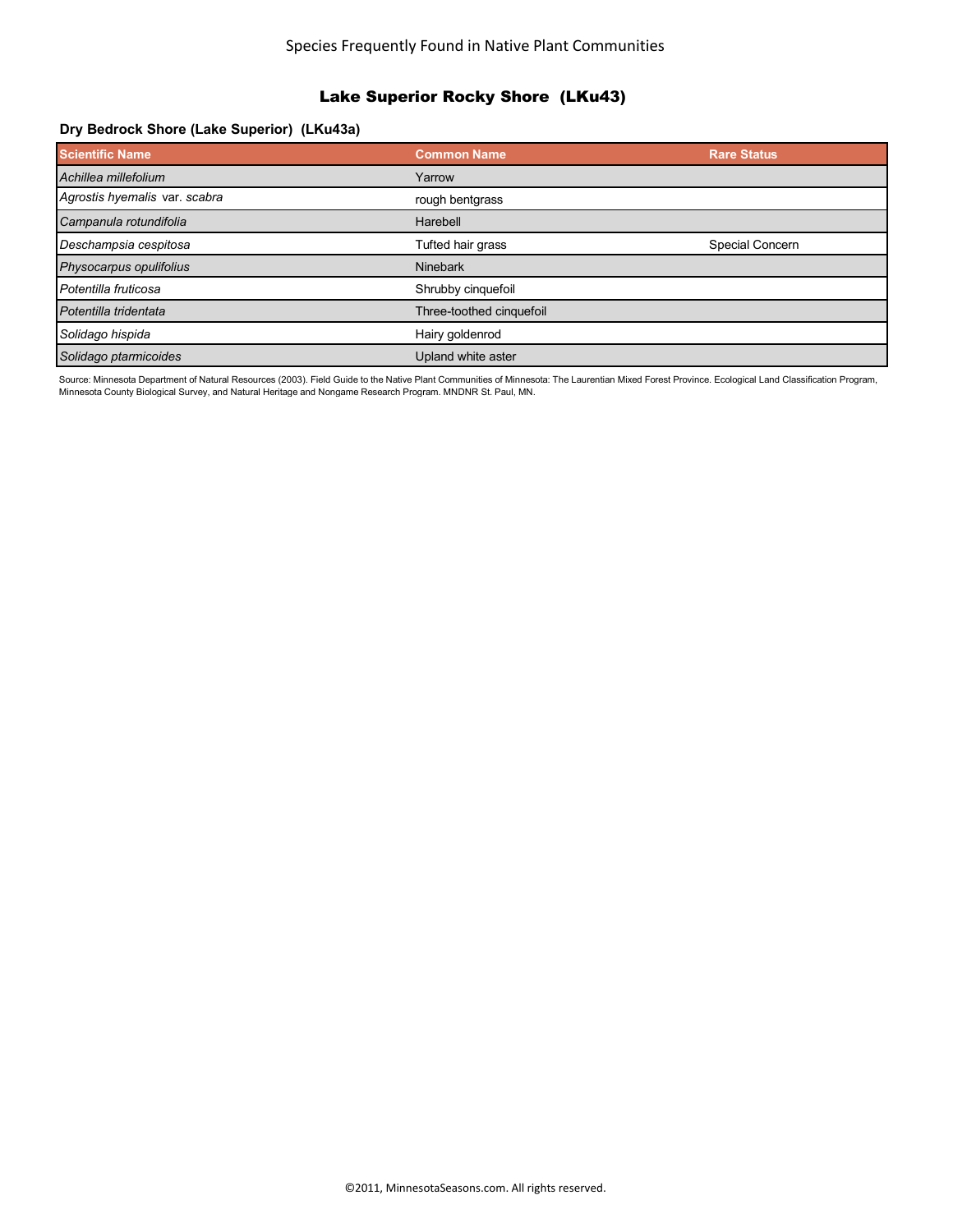# Lake Superior Rocky Shore (LKu43)

# **Dry Bedrock Shore (Lake Superior) (LKu43a)**

| <b>Scientific Name</b>        | <b>Common Name</b>       | <b>Rare Status</b> |
|-------------------------------|--------------------------|--------------------|
| Achillea millefolium          | Yarrow                   |                    |
| Agrostis hyemalis var. scabra | rough bentgrass          |                    |
| Campanula rotundifolia        | Harebell                 |                    |
| Deschampsia cespitosa         | Tufted hair grass        | Special Concern    |
| Physocarpus opulifolius       | <b>Ninebark</b>          |                    |
| Potentilla fruticosa          | Shrubby cinquefoil       |                    |
| Potentilla tridentata         | Three-toothed cinquefoil |                    |
| Solidago hispida              | Hairy goldenrod          |                    |
| Solidago ptarmicoides         | Upland white aster       |                    |

Source: Minnesota Department of Natural Resources (2003). Field Guide to the Native Plant Communities of Minnesota: The Laurentian Mixed Forest Province. Ecological Land Classification Program, Minnesota County Biological Survey, and Natural Heritage and Nongame Research Program. MNDNR St. Paul, MN.